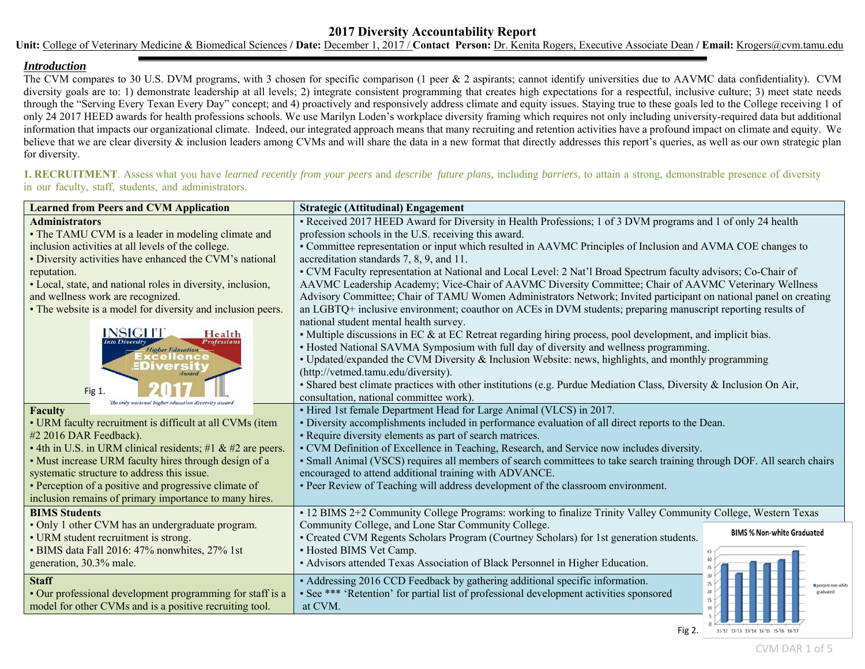## **2017 Diversity Accountability Report**

**Unit:** College of Veterinary Medicine & Biomedical Sciences **/ Date:** December 1, 2017 / **Contact Person:** Dr. Kenita Rogers, Executive Associate Dean **/ Email:** Krogers@cvm.tamu.edu

## *Introduction*

The CVM compares to 30 U.S. DVM programs, with 3 chosen for specific comparison (1 peer & 2 aspirants; cannot identify universities due to AAVMC data confidentiality). CVM diversity goals are to: 1) demonstrate leadership at all levels; 2) integrate consistent programming that creates high expectations for a respectful, inclusive culture; 3) meet state needs through the "Serving Every Texan Every Day" concept; and 4) proactively and responsively address climate and equity issues. Staying true to these goals led to the College receiving 1 of only 24 2017 HEED awards for health professions schools. We use Marilyn Loden's workplace diversity framing which requires not only including university-required data but additional information that impacts our organizational climate. Indeed, our integrated approach means that many recruiting and retention activities have a profound impact on climate and equity. We believe that we are clear diversity & inclusion leaders among CVMs and will share the data in a new format that directly addresses this report's queries, as well as our own strategic plan for diversity.

**1. RECRUITMENT**. Assess what you have *learned recently from your peers* and *describe future plans*, including *barriers*, to attain a strong, demonstrable presence of diversity in our faculty, staff, students, and administrators.

| <b>Learned from Peers and CVM Application</b>               | <b>Strategic (Attitudinal) Engagement</b>                                                                              |  |  |
|-------------------------------------------------------------|------------------------------------------------------------------------------------------------------------------------|--|--|
| <b>Administrators</b>                                       | • Received 2017 HEED Award for Diversity in Health Professions; 1 of 3 DVM programs and 1 of only 24 health            |  |  |
| • The TAMU CVM is a leader in modeling climate and          | profession schools in the U.S. receiving this award.                                                                   |  |  |
| inclusion activities at all levels of the college.          | • Committee representation or input which resulted in AAVMC Principles of Inclusion and AVMA COE changes to            |  |  |
| • Diversity activities have enhanced the CVM's national     | accreditation standards 7, 8, 9, and 11.                                                                               |  |  |
| reputation.                                                 | • CVM Faculty representation at National and Local Level: 2 Nat'l Broad Spectrum faculty advisors; Co-Chair of         |  |  |
| • Local, state, and national roles in diversity, inclusion, | AAVMC Leadership Academy; Vice-Chair of AAVMC Diversity Committee; Chair of AAVMC Veterinary Wellness                  |  |  |
| and wellness work are recognized.                           | Advisory Committee; Chair of TAMU Women Administrators Network; Invited participant on national panel on creating      |  |  |
| • The website is a model for diversity and inclusion peers. | an LGBTQ+ inclusive environment; coauthor on ACEs in DVM students; preparing manuscript reporting results of           |  |  |
|                                                             | national student mental health survey.                                                                                 |  |  |
| <b>INSIGHT</b><br>Health<br><b>Professions</b>              | • Multiple discussions in EC & at EC Retreat regarding hiring process, pool development, and implicit bias.            |  |  |
| <b>Higher Education</b>                                     | • Hosted National SAVMA Symposium with full day of diversity and wellness programming.                                 |  |  |
| cellence<br><b>Diversit</b>                                 | · Updated/expanded the CVM Diversity & Inclusion Website: news, highlights, and monthly programming                    |  |  |
| Award                                                       | (http://vetmed.tamu.edu/diversity).                                                                                    |  |  |
| Fig 1.                                                      | • Shared best climate practices with other institutions (e.g. Purdue Mediation Class, Diversity & Inclusion On Air,    |  |  |
| The only national higher education diversity aware          | consultation, national committee work).                                                                                |  |  |
| <b>Faculty</b>                                              | • Hired 1st female Department Head for Large Animal (VLCS) in 2017.                                                    |  |  |
| • URM faculty recruitment is difficult at all CVMs (item    | • Diversity accomplishments included in performance evaluation of all direct reports to the Dean.                      |  |  |
| #2 2016 DAR Feedback).                                      | • Require diversity elements as part of search matrices.                                                               |  |  |
| • 4th in U.S. in URM clinical residents; #1 & #2 are peers. | • CVM Definition of Excellence in Teaching, Research, and Service now includes diversity.                              |  |  |
| • Must increase URM faculty hires through design of a       | · Small Animal (VSCS) requires all members of search committees to take search training through DOF. All search chairs |  |  |
| systematic structure to address this issue.                 | encouraged to attend additional training with ADVANCE.                                                                 |  |  |
| • Perception of a positive and progressive climate of       | • Peer Review of Teaching will address development of the classroom environment.                                       |  |  |
| inclusion remains of primary importance to many hires.      |                                                                                                                        |  |  |
| <b>BIMS Students</b>                                        | . 12 BIMS 2+2 Community College Programs: working to finalize Trinity Valley Community College, Western Texas          |  |  |
| • Only 1 other CVM has an undergraduate program.            | Community College, and Lone Star Community College.<br><b>BIMS % Non-white Graduated</b>                               |  |  |
| • URM student recruitment is strong.                        | • Created CVM Regents Scholars Program (Courtney Scholars) for 1st generation students.                                |  |  |
| · BIMS data Fall 2016: 47% nonwhites, 27% 1st               | • Hosted BIMS Vet Camp.                                                                                                |  |  |
| generation, 30.3% male.                                     | • Advisors attended Texas Association of Black Personnel in Higher Education.                                          |  |  |
| <b>Staff</b>                                                | • Addressing 2016 CCD Feedback by gathering additional specific information.                                           |  |  |
| • Our professional development programming for staff is a   | • See *** 'Retention' for partial list of professional development activities sponsored<br>15                          |  |  |
| model for other CVMs and is a positive recruiting tool.     | at CVM.                                                                                                                |  |  |
|                                                             |                                                                                                                        |  |  |

Fig 2.

11-'12 12-'13 13-'14 14-'15 15-'16 16-'17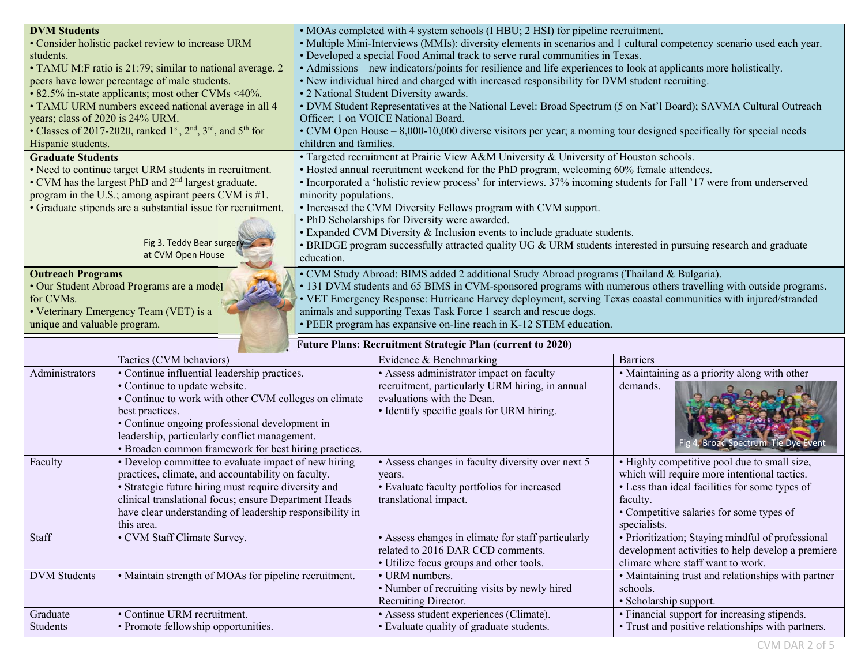| <b>DVM Students</b>                                                  | • MOAs completed with 4 system schools (I HBU; 2 HSI) for pipeline recruitment.                                       |  |
|----------------------------------------------------------------------|-----------------------------------------------------------------------------------------------------------------------|--|
| • Consider holistic packet review to increase URM                    | • Multiple Mini-Interviews (MMIs): diversity elements in scenarios and 1 cultural competency scenario used each year. |  |
| students.                                                            | • Developed a special Food Animal track to serve rural communities in Texas.                                          |  |
| • TAMU M:F ratio is 21:79; similar to national average. 2            | • Admissions – new indicators/points for resilience and life experiences to look at applicants more holistically.     |  |
| peers have lower percentage of male students.                        | • New individual hired and charged with increased responsibility for DVM student recruiting.                          |  |
| • 82.5% in-state applicants; most other CVMs <40%.                   | • 2 National Student Diversity awards.                                                                                |  |
| • TAMU URM numbers exceed national average in all 4                  | • DVM Student Representatives at the National Level: Broad Spectrum (5 on Nat'l Board); SAVMA Cultural Outreach       |  |
| years; class of 2020 is 24% URM.                                     | Officer; 1 on VOICE National Board.                                                                                   |  |
| • Classes of 2017-2020, ranked $1st$ , $2nd$ , $3rd$ , and $5th$ for | • CVM Open House – 8,000-10,000 diverse visitors per year; a morning tour designed specifically for special needs     |  |
| Hispanic students.                                                   | children and families.                                                                                                |  |
| <b>Graduate Students</b>                                             | • Targeted recruitment at Prairie View A&M University & University of Houston schools.                                |  |
| • Need to continue target URM students in recruitment.               | • Hosted annual recruitment weekend for the PhD program, welcoming 60% female attendees.                              |  |
| • CVM has the largest PhD and 2 <sup>nd</sup> largest graduate.      | • Incorporated a 'holistic review process' for interviews. 37% incoming students for Fall '17 were from underserved   |  |
| program in the U.S.; among aspirant peers CVM is #1.                 | minority populations.                                                                                                 |  |
| • Graduate stipends are a substantial issue for recruitment.         | • Increased the CVM Diversity Fellows program with CVM support.                                                       |  |
|                                                                      | • PhD Scholarships for Diversity were awarded.                                                                        |  |
|                                                                      | • Expanded CVM Diversity & Inclusion events to include graduate students.                                             |  |
| Fig 3. Teddy Bear surgery                                            | • BRIDGE program successfully attracted quality UG & URM students interested in pursuing research and graduate        |  |
| at CVM Open House                                                    | education.                                                                                                            |  |
| <b>Outreach Programs</b>                                             | • CVM Study Abroad: BIMS added 2 additional Study Abroad programs (Thailand & Bulgaria).                              |  |
| • Our Student Abroad Programs are a model                            | • 131 DVM students and 65 BIMS in CVM-sponsored programs with numerous others travelling with outside programs.       |  |
| for CVMs.                                                            | • VET Emergency Response: Hurricane Harvey deployment, serving Texas coastal communities with injured/stranded        |  |
| • Veterinary Emergency Team (VET) is a                               | animals and supporting Texas Task Force 1 search and rescue dogs.                                                     |  |
| unique and valuable program.                                         | • PEER program has expansive on-line reach in K-12 STEM education.                                                    |  |
|                                                                      |                                                                                                                       |  |

| <b>Future Plans: Recruitment Strategic Plan (current to 2020)</b> |                                                          |                                                    |                                                    |
|-------------------------------------------------------------------|----------------------------------------------------------|----------------------------------------------------|----------------------------------------------------|
|                                                                   | Tactics (CVM behaviors)                                  | Evidence & Benchmarking                            | <b>Barriers</b>                                    |
| Administrators                                                    | • Continue influential leadership practices.             | • Assess administrator impact on faculty           | • Maintaining as a priority along with other       |
|                                                                   | • Continue to update website.                            | recruitment, particularly URM hiring, in annual    | demands.                                           |
|                                                                   | • Continue to work with other CVM colleges on climate    | evaluations with the Dean.                         |                                                    |
|                                                                   | best practices.                                          | • Identify specific goals for URM hiring.          |                                                    |
|                                                                   | • Continue ongoing professional development in           |                                                    |                                                    |
|                                                                   | leadership, particularly conflict management.            |                                                    | <b>Broad Spectrum Tie Dye Event</b>                |
|                                                                   | • Broaden common framework for best hiring practices.    |                                                    |                                                    |
| Faculty                                                           | • Develop committee to evaluate impact of new hiring     | • Assess changes in faculty diversity over next 5  | • Highly competitive pool due to small size,       |
|                                                                   | practices, climate, and accountability on faculty.       | years.                                             | which will require more intentional tactics.       |
|                                                                   | • Strategic future hiring must require diversity and     | • Evaluate faculty portfolios for increased        | • Less than ideal facilities for some types of     |
|                                                                   | clinical translational focus; ensure Department Heads    | translational impact.                              | faculty.                                           |
|                                                                   | have clear understanding of leadership responsibility in |                                                    | • Competitive salaries for some types of           |
|                                                                   | this area.                                               |                                                    | specialists.                                       |
| Staff                                                             | • CVM Staff Climate Survey.                              | • Assess changes in climate for staff particularly | • Prioritization; Staying mindful of professional  |
|                                                                   |                                                          | related to 2016 DAR CCD comments.                  | development activities to help develop a premiere  |
|                                                                   |                                                          | • Utilize focus groups and other tools.            | climate where staff want to work.                  |
| <b>DVM</b> Students                                               | • Maintain strength of MOAs for pipeline recruitment.    | • URM numbers.                                     | • Maintaining trust and relationships with partner |
|                                                                   |                                                          | • Number of recruiting visits by newly hired       | schools.                                           |
|                                                                   |                                                          | Recruiting Director.                               | • Scholarship support.                             |
| Graduate                                                          | • Continue URM recruitment.                              | · Assess student experiences (Climate).            | • Financial support for increasing stipends.       |
| Students                                                          | • Promote fellowship opportunities.                      | • Evaluate quality of graduate students.           | • Trust and positive relationships with partners.  |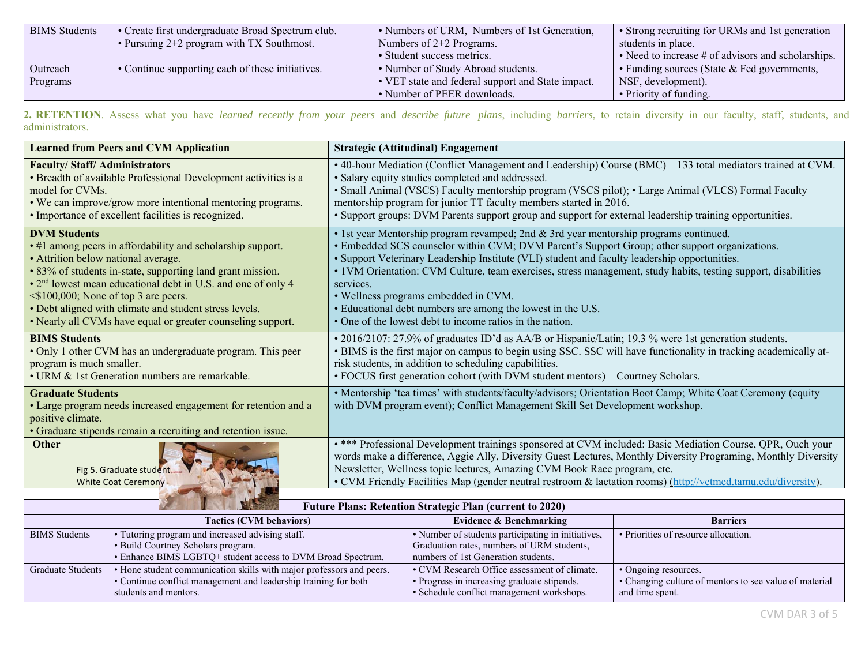| <b>BIMS</b> Students | • Create first undergraduate Broad Spectrum club. | • Numbers of URM, Numbers of 1st Generation,      | • Strong recruiting for URMs and 1st generation      |
|----------------------|---------------------------------------------------|---------------------------------------------------|------------------------------------------------------|
|                      | • Pursuing $2+2$ program with TX Southmost.       | Numbers of $2+2$ Programs.                        | students in place.                                   |
|                      |                                                   | • Student success metrics.                        | • Need to increase $#$ of advisors and scholarships. |
| Outreach             | • Continue supporting each of these initiatives.  | • Number of Study Abroad students.                | • Funding sources (State & Fed governments,          |
| Programs             |                                                   | • VET state and federal support and State impact. | NSF, development).                                   |
|                      |                                                   | • Number of PEER downloads.                       | • Priority of funding.                               |

**2. RETENTION**. Assess what you have *learned recently from your peers* and *describe future plans*, including *barriers*, to retain diversity in our faculty, staff, students, and administrators.

| <b>Learned from Peers and CVM Application</b>                                                                                                                                   | <b>Strategic (Attitudinal) Engagement</b>                                                                                                                                                                                                                                                                                                                                                                                 |
|---------------------------------------------------------------------------------------------------------------------------------------------------------------------------------|---------------------------------------------------------------------------------------------------------------------------------------------------------------------------------------------------------------------------------------------------------------------------------------------------------------------------------------------------------------------------------------------------------------------------|
| <b>Faculty/Staff/Administrators</b>                                                                                                                                             | • 40-hour Mediation (Conflict Management and Leadership) Course (BMC) – 133 total mediators trained at CVM.                                                                                                                                                                                                                                                                                                               |
| • Breadth of available Professional Development activities is a                                                                                                                 | · Salary equity studies completed and addressed.                                                                                                                                                                                                                                                                                                                                                                          |
| model for CVMs.                                                                                                                                                                 | • Small Animal (VSCS) Faculty mentorship program (VSCS pilot); • Large Animal (VLCS) Formal Faculty                                                                                                                                                                                                                                                                                                                       |
| • We can improve/grow more intentional mentoring programs.                                                                                                                      | mentorship program for junior TT faculty members started in 2016.                                                                                                                                                                                                                                                                                                                                                         |
| • Importance of excellent facilities is recognized.                                                                                                                             | • Support groups: DVM Parents support group and support for external leadership training opportunities.                                                                                                                                                                                                                                                                                                                   |
| <b>DVM Students</b>                                                                                                                                                             | • 1st year Mentorship program revamped; 2nd & 3rd year mentorship programs continued.                                                                                                                                                                                                                                                                                                                                     |
| • #1 among peers in affordability and scholarship support.                                                                                                                      | • Embedded SCS counselor within CVM; DVM Parent's Support Group; other support organizations.                                                                                                                                                                                                                                                                                                                             |
| • Attrition below national average.                                                                                                                                             | · Support Veterinary Leadership Institute (VLI) student and faculty leadership opportunities.                                                                                                                                                                                                                                                                                                                             |
| • 83% of students in-state, supporting land grant mission.                                                                                                                      | • 1VM Orientation: CVM Culture, team exercises, stress management, study habits, testing support, disabilities                                                                                                                                                                                                                                                                                                            |
| • 2 <sup>nd</sup> lowest mean educational debt in U.S. and one of only 4                                                                                                        | services.                                                                                                                                                                                                                                                                                                                                                                                                                 |
| $\leq$ \$100,000; None of top 3 are peers.                                                                                                                                      | • Wellness programs embedded in CVM.                                                                                                                                                                                                                                                                                                                                                                                      |
| • Debt aligned with climate and student stress levels.                                                                                                                          | • Educational debt numbers are among the lowest in the U.S.                                                                                                                                                                                                                                                                                                                                                               |
| • Nearly all CVMs have equal or greater counseling support.                                                                                                                     | • One of the lowest debt to income ratios in the nation.                                                                                                                                                                                                                                                                                                                                                                  |
| <b>BIMS Students</b>                                                                                                                                                            | • 2016/2107: 27.9% of graduates ID'd as AA/B or Hispanic/Latin; 19.3 % were 1st generation students.                                                                                                                                                                                                                                                                                                                      |
| • Only 1 other CVM has an undergraduate program. This peer                                                                                                                      | • BIMS is the first major on campus to begin using SSC. SSC will have functionality in tracking academically at-                                                                                                                                                                                                                                                                                                          |
| program is much smaller.                                                                                                                                                        | risk students, in addition to scheduling capabilities.                                                                                                                                                                                                                                                                                                                                                                    |
| • URM & 1st Generation numbers are remarkable.                                                                                                                                  | • FOCUS first generation cohort (with DVM student mentors) – Courtney Scholars.                                                                                                                                                                                                                                                                                                                                           |
| <b>Graduate Students</b><br>• Large program needs increased engagement for retention and a<br>positive climate.<br>• Graduate stipends remain a recruiting and retention issue. | • Mentorship 'tea times' with students/faculty/advisors; Orientation Boot Camp; White Coat Ceremony (equity<br>with DVM program event); Conflict Management Skill Set Development workshop.                                                                                                                                                                                                                               |
| <b>Other</b><br>Fig 5. Graduate student<br><b>White Coat Ceremony</b>                                                                                                           | . *** Professional Development trainings sponsored at CVM included: Basic Mediation Course, QPR, Ouch your<br>words make a difference, Aggie Ally, Diversity Guest Lectures, Monthly Diversity Programing, Monthly Diversity<br>Newsletter, Wellness topic lectures, Amazing CVM Book Race program, etc.<br>• CVM Friendly Facilities Map (gender neutral restroom & lactation rooms) (http://vetmed.tamu.edu/diversity). |

| <b>A MARINE AND A MEMBERS</b><br><b>Future Plans: Retention Strategic Plan (current to 2020)</b> |                                                                      |                                                    |                                                        |
|--------------------------------------------------------------------------------------------------|----------------------------------------------------------------------|----------------------------------------------------|--------------------------------------------------------|
|                                                                                                  | <b>Tactics (CVM behaviors)</b>                                       | Evidence & Benchmarking                            | <b>Barriers</b>                                        |
| <b>BIMS</b> Students                                                                             | Tutoring program and increased advising staff.                       | · Number of students participating in initiatives, | • Priorities of resource allocation.                   |
|                                                                                                  | • Build Courtney Scholars program.                                   | Graduation rates, numbers of URM students,         |                                                        |
|                                                                                                  | • Enhance BIMS LGBTQ+ student access to DVM Broad Spectrum.          | numbers of 1st Generation students.                |                                                        |
| Graduate Students                                                                                | • Hone student communication skills with major professors and peers. | • CVM Research Office assessment of climate.       | • Ongoing resources.                                   |
|                                                                                                  | • Continue conflict management and leadership training for both      | • Progress in increasing graduate stipends.        | • Changing culture of mentors to see value of material |
|                                                                                                  | students and mentors.                                                | • Schedule conflict management workshops.          | and time spent.                                        |
|                                                                                                  |                                                                      |                                                    |                                                        |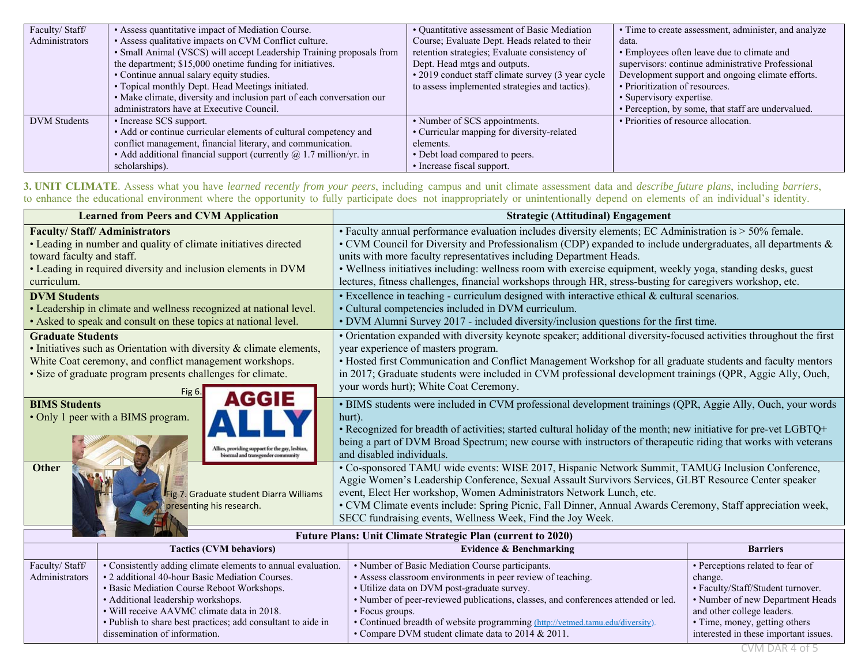| Faculty/Staff/      | • Assess quantitative impact of Mediation Course.                     | • Quantitative assessment of Basic Mediation      | • Time to create assessment, administer, and analyze |
|---------------------|-----------------------------------------------------------------------|---------------------------------------------------|------------------------------------------------------|
| Administrators      | • Assess qualitative impacts on CVM Conflict culture.                 | Course; Evaluate Dept. Heads related to their     | data.                                                |
|                     | · Small Animal (VSCS) will accept Leadership Training proposals from  | retention strategies; Evaluate consistency of     | • Employees often leave due to climate and           |
|                     | the department; \$15,000 onetime funding for initiatives.             | Dept. Head mtgs and outputs.                      | supervisors: continue administrative Professional    |
|                     | • Continue annual salary equity studies.                              | • 2019 conduct staff climate survey (3 year cycle | Development support and ongoing climate efforts.     |
|                     | • Topical monthly Dept. Head Meetings initiated.                      | to assess implemented strategies and tactics).    | • Prioritization of resources.                       |
|                     | • Make climate, diversity and inclusion part of each conversation our |                                                   | • Supervisory expertise.                             |
|                     | administrators have at Executive Council.                             |                                                   | • Perception, by some, that staff are undervalued.   |
| <b>DVM</b> Students | • Increase SCS support.                                               | • Number of SCS appointments.                     | • Priorities of resource allocation.                 |
|                     | • Add or continue curricular elements of cultural competency and      | • Curricular mapping for diversity-related        |                                                      |
|                     | conflict management, financial literary, and communication.           | elements.                                         |                                                      |
|                     | • Add additional financial support (currently $@$ 1.7 million/yr. in  | • Debt load compared to peers.                    |                                                      |
|                     | scholarships).                                                        | • Increase fiscal support.                        |                                                      |

**3. UNIT CLIMATE**. Assess what you have *learned recently from your peers*, including campus and unit climate assessment data and *describe future plans*, including *barriers*, to enhance the educational environment where the opportunity to fully participate does not inappropriately or unintentionally depend on elements of an individual's identity.

| <b>Learned from Peers and CVM Application</b>                                                                                                                | <b>Strategic (Attitudinal) Engagement</b>                                                                                                                                                                                                                                                                                                                                                                                                                   |
|--------------------------------------------------------------------------------------------------------------------------------------------------------------|-------------------------------------------------------------------------------------------------------------------------------------------------------------------------------------------------------------------------------------------------------------------------------------------------------------------------------------------------------------------------------------------------------------------------------------------------------------|
| <b>Faculty/Staff/Administrators</b>                                                                                                                          | • Faculty annual performance evaluation includes diversity elements; EC Administration is > 50% female.                                                                                                                                                                                                                                                                                                                                                     |
| • Leading in number and quality of climate initiatives directed                                                                                              | • CVM Council for Diversity and Professionalism (CDP) expanded to include undergraduates, all departments &                                                                                                                                                                                                                                                                                                                                                 |
| toward faculty and staff.                                                                                                                                    | units with more faculty representatives including Department Heads.                                                                                                                                                                                                                                                                                                                                                                                         |
| • Leading in required diversity and inclusion elements in DVM                                                                                                | • Wellness initiatives including: wellness room with exercise equipment, weekly yoga, standing desks, guest                                                                                                                                                                                                                                                                                                                                                 |
| curriculum.                                                                                                                                                  | lectures, fitness challenges, financial workshops through HR, stress-busting for caregivers workshop, etc.                                                                                                                                                                                                                                                                                                                                                  |
| <b>DVM Students</b>                                                                                                                                          | • Excellence in teaching - curriculum designed with interactive ethical & cultural scenarios.                                                                                                                                                                                                                                                                                                                                                               |
| • Leadership in climate and wellness recognized at national level.                                                                                           | • Cultural competencies included in DVM curriculum.                                                                                                                                                                                                                                                                                                                                                                                                         |
| • Asked to speak and consult on these topics at national level.                                                                                              | • DVM Alumni Survey 2017 - included diversity/inclusion questions for the first time.                                                                                                                                                                                                                                                                                                                                                                       |
| <b>Graduate Students</b>                                                                                                                                     | • Orientation expanded with diversity keynote speaker; additional diversity-focused activities throughout the first                                                                                                                                                                                                                                                                                                                                         |
| • Initiatives such as Orientation with diversity & climate elements,                                                                                         | year experience of masters program.                                                                                                                                                                                                                                                                                                                                                                                                                         |
| White Coat ceremony, and conflict management workshops.                                                                                                      | • Hosted first Communication and Conflict Management Workshop for all graduate students and faculty mentors                                                                                                                                                                                                                                                                                                                                                 |
| · Size of graduate program presents challenges for climate.                                                                                                  | in 2017; Graduate students were included in CVM professional development trainings (QPR, Aggie Ally, Ouch,                                                                                                                                                                                                                                                                                                                                                  |
| Fig $6.$                                                                                                                                                     | your words hurt); White Coat Ceremony.                                                                                                                                                                                                                                                                                                                                                                                                                      |
| AGGIE<br><b>BIMS</b> Students<br>• Only 1 peer with a BIMS program.<br>Allies, providing support for the gay, lesbian,<br>bisexual and transgender community | • BIMS students were included in CVM professional development trainings (QPR, Aggie Ally, Ouch, your words<br>hurt).<br>• Recognized for breadth of activities; started cultural holiday of the month; new initiative for pre-vet LGBTQ+<br>being a part of DVM Broad Spectrum; new course with instructors of therapeutic riding that works with veterans<br>and disabled individuals.                                                                     |
| <b>Other</b><br>Fig 7. Graduate student Diarra Williams<br>presenting his research.                                                                          | • Co-sponsored TAMU wide events: WISE 2017, Hispanic Network Summit, TAMUG Inclusion Conference,<br>Aggie Women's Leadership Conference, Sexual Assault Survivors Services, GLBT Resource Center speaker<br>event, Elect Her workshop, Women Administrators Network Lunch, etc.<br>• CVM Climate events include: Spring Picnic, Fall Dinner, Annual Awards Ceremony, Staff appreciation week,<br>SECC fundraising events, Wellness Week, Find the Joy Week. |

| <b>Future Plans: Unit Climate Strategic Plan (current to 2020)</b> |                                                              |                                                                                   |                                       |
|--------------------------------------------------------------------|--------------------------------------------------------------|-----------------------------------------------------------------------------------|---------------------------------------|
|                                                                    | <b>Tactics (CVM behaviors)</b>                               | Evidence & Benchmarking                                                           | <b>Barriers</b>                       |
| Faculty/Staff/                                                     | • Consistently adding climate elements to annual evaluation. | • Number of Basic Mediation Course participants.                                  | • Perceptions related to fear of      |
| Administrators                                                     | • 2 additional 40-hour Basic Mediation Courses.              | • Assess classroom environments in peer review of teaching.                       | change.                               |
|                                                                    | • Basic Mediation Course Reboot Workshops.                   | • Utilize data on DVM post-graduate survey.                                       | • Faculty/Staff/Student turnover.     |
|                                                                    | • Additional leadership workshops.                           | • Number of peer-reviewed publications, classes, and conferences attended or led. | • Number of new Department Heads      |
|                                                                    | • Will receive AAVMC climate data in 2018.                   | • Focus groups.                                                                   | and other college leaders.            |
|                                                                    | • Publish to share best practices; add consultant to aide in | • Continued breadth of website programming (http://vetmed.tamu.edu/diversity).    | • Time, money, getting others         |
|                                                                    | dissemination of information.                                | • Compare DVM student climate data to 2014 & 2011.                                | interested in these important issues. |